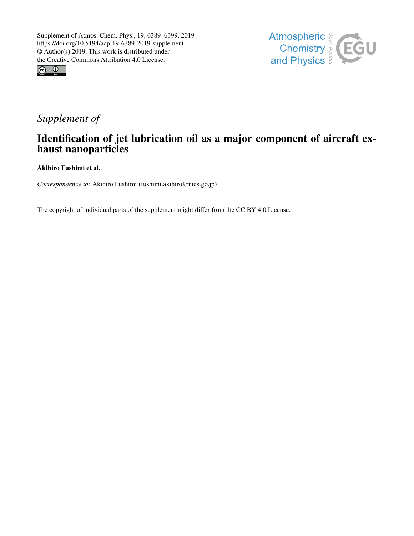



## *Supplement of*

## Identification of jet lubrication oil as a major component of aircraft exhaust nanoparticles

Akihiro Fushimi et al.

*Correspondence to:* Akihiro Fushimi (fushimi.akihiro@nies.go.jp)

The copyright of individual parts of the supplement might differ from the CC BY 4.0 License.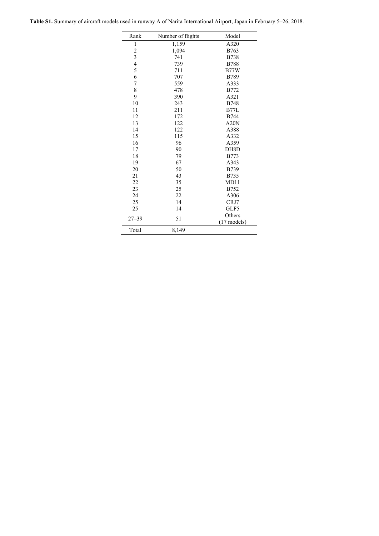|  | <b>Table S1.</b> Summary of aircraft models used in runway A of Narita International Airport, Japan in February 5–26, 2018. |  |  |  |
|--|-----------------------------------------------------------------------------------------------------------------------------|--|--|--|
|--|-----------------------------------------------------------------------------------------------------------------------------|--|--|--|

| Rank                    | Number of flights | Model         |
|-------------------------|-------------------|---------------|
| $\mathbf{1}$            | 1,159             | A320          |
| $\overline{\mathbf{c}}$ | 1,094             | B763          |
| 3                       | 741               | <b>B738</b>   |
| $\frac{4}{5}$           | 739               | <b>B788</b>   |
|                         | 711               | <b>B77W</b>   |
| 6                       | 707               | <b>B789</b>   |
| $\overline{7}$          | 559               | A333          |
| 8                       | 478               | <b>B772</b>   |
| 9                       | 390               | A321          |
| 10                      | 243               | <b>B748</b>   |
| 11                      | 211               | <b>B77L</b>   |
| 12                      | 172               | <b>B744</b>   |
| 13                      | 122               | A20N          |
| 14                      | 122               | A388          |
| 15                      | 115               | A332          |
| 16                      | 96                | A359          |
| 17                      | 90                | DH8D          |
| 18                      | 79                | <b>B773</b>   |
| 19                      | 67                | A343          |
| 20                      | 50                | <b>B739</b>   |
| 21                      | 43                | <b>B735</b>   |
| 22                      | 35                | MD11          |
| 23                      | 25                | B752          |
| 24                      | 22                | A306          |
| 25                      | 14                | CRJ7          |
| 25                      | 14                | GLF5          |
|                         |                   | Others        |
| $27 - 39$               | 51                | $(17$ models) |
| Total                   | 8,149             |               |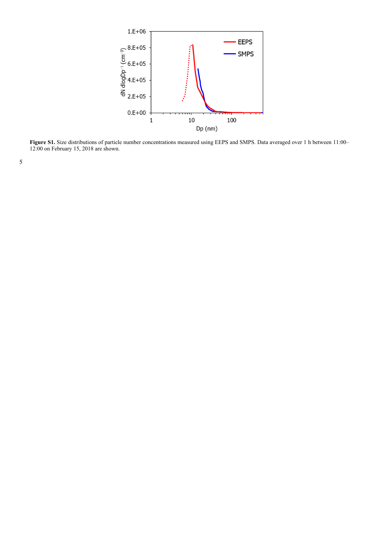

**Figure S1.** Size distributions of particle number concentrations measured using EEPS and SMPS. Data averaged over 1 h between 11:00– 12:00 on February 15, 2018 are shown.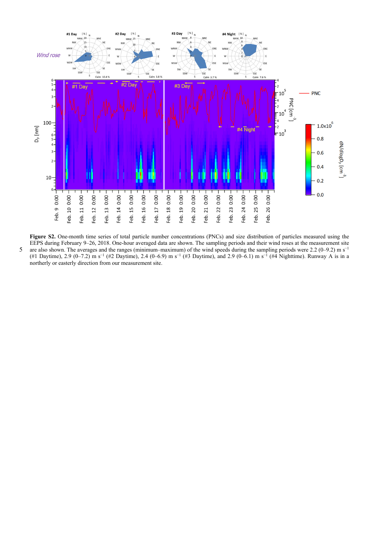

**Figure S2.** One-month time series of total particle number concentrations (PNCs) and size distribution of particles measured using the EEPS during February 9–26, 2018. One-hour averaged data are shown. The sampling periods and their wind roses at the measurement site 5 are also shown. The averages and the ranges (minimum–maximum) of the wind speeds during the sampling periods were 2.2 (0–9.2) m s<sup>-1</sup> (#1 Daytime), 2.9 (0–7.2) m s−1 (#2 Daytime), 2.4 (0–6.9) m s−1 (#3 Daytime), and 2.9 (0–6.1) m s−1 (#4 Nighttime). Runway A is in a northerly or easterly direction from our measurement site.